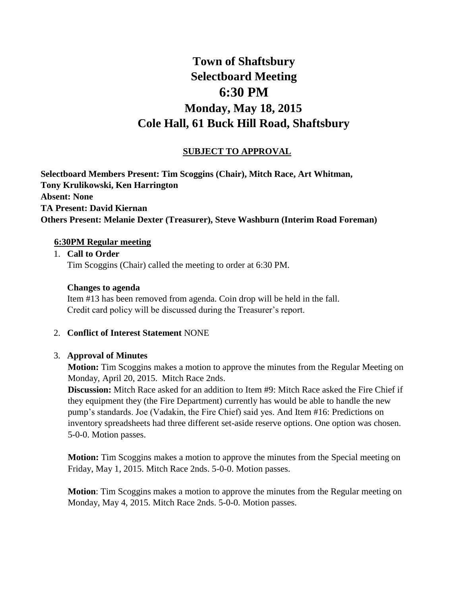# **Town of Shaftsbury Selectboard Meeting 6:30 PM Monday, May 18, 2015 Cole Hall, 61 Buck Hill Road, Shaftsbury**

# **SUBJECT TO APPROVAL**

**Selectboard Members Present: Tim Scoggins (Chair), Mitch Race, Art Whitman, Tony Krulikowski, Ken Harrington Absent: None TA Present: David Kiernan Others Present: Melanie Dexter (Treasurer), Steve Washburn (Interim Road Foreman)** 

#### **6:30PM Regular meeting**

1. **Call to Order**  Tim Scoggins (Chair) called the meeting to order at 6:30 PM.

#### **Changes to agenda**

Item #13 has been removed from agenda. Coin drop will be held in the fall. Credit card policy will be discussed during the Treasurer's report.

## 2. **Conflict of Interest Statement** NONE

## 3. **Approval of Minutes**

**Motion:** Tim Scoggins makes a motion to approve the minutes from the Regular Meeting on Monday, April 20, 2015. Mitch Race 2nds.

**Discussion:** Mitch Race asked for an addition to Item #9: Mitch Race asked the Fire Chief if they equipment they (the Fire Department) currently has would be able to handle the new pump's standards. Joe (Vadakin, the Fire Chief) said yes. And Item #16: Predictions on inventory spreadsheets had three different set-aside reserve options. One option was chosen. 5-0-0. Motion passes.

**Motion:** Tim Scoggins makes a motion to approve the minutes from the Special meeting on Friday, May 1, 2015. Mitch Race 2nds. 5-0-0. Motion passes.

**Motion**: Tim Scoggins makes a motion to approve the minutes from the Regular meeting on Monday, May 4, 2015. Mitch Race 2nds. 5-0-0. Motion passes.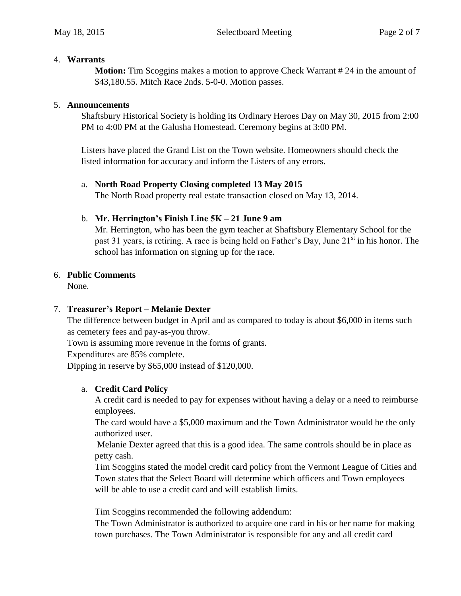#### 4. **Warrants**

**Motion:** Tim Scoggins makes a motion to approve Check Warrant #24 in the amount of \$43,180.55. Mitch Race 2nds. 5-0-0. Motion passes.

#### 5. **Announcements**

Shaftsbury Historical Society is holding its Ordinary Heroes Day on May 30, 2015 from 2:00 PM to 4:00 PM at the Galusha Homestead. Ceremony begins at 3:00 PM.

Listers have placed the Grand List on the Town website. Homeowners should check the listed information for accuracy and inform the Listers of any errors.

## a. **North Road Property Closing completed 13 May 2015**

The North Road property real estate transaction closed on May 13, 2014.

## b. **Mr. Herrington's Finish Line 5K – 21 June 9 am**

Mr. Herrington, who has been the gym teacher at Shaftsbury Elementary School for the past 31 years, is retiring. A race is being held on Father's Day, June  $21<sup>st</sup>$  in his honor. The school has information on signing up for the race.

## 6. **Public Comments**

None.

## 7. **Treasurer's Report – Melanie Dexter**

The difference between budget in April and as compared to today is about \$6,000 in items such as cemetery fees and pay-as-you throw.

Town is assuming more revenue in the forms of grants.

Expenditures are 85% complete.

Dipping in reserve by \$65,000 instead of \$120,000.

## a. **Credit Card Policy**

A credit card is needed to pay for expenses without having a delay or a need to reimburse employees.

The card would have a \$5,000 maximum and the Town Administrator would be the only authorized user.

Melanie Dexter agreed that this is a good idea. The same controls should be in place as petty cash.

Tim Scoggins stated the model credit card policy from the Vermont League of Cities and Town states that the Select Board will determine which officers and Town employees will be able to use a credit card and will establish limits.

Tim Scoggins recommended the following addendum:

The Town Administrator is authorized to acquire one card in his or her name for making town purchases. The Town Administrator is responsible for any and all credit card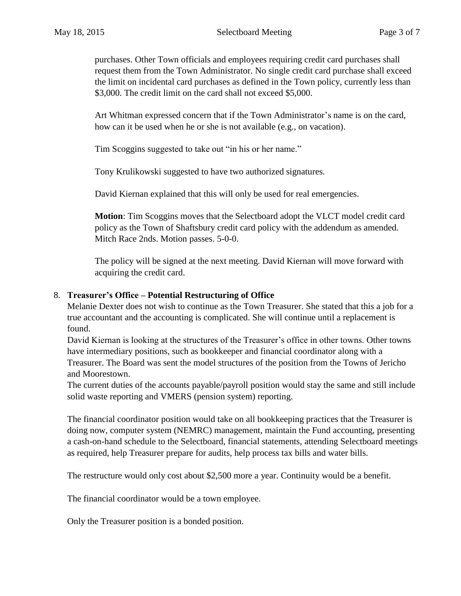purchases. Other Town officials and employees requiring credit card purchases shall request them from the Town Administrator. No single credit card purchase shall exceed the limit on incidental card purchases as defined in the Town policy, currently less than \$3,000. The credit limit on the card shall not exceed \$5,000.

Art Whitman expressed concern that if the Town Administrator's name is on the card, how can it be used when he or she is not available (e.g., on vacation).

Tim Scoggins suggested to take out "in his or her name."

Tony Krulikowski suggested to have two authorized signatures.

David Kiernan explained that this will only be used for real emergencies.

**Motion**: Tim Scoggins moves that the Selectboard adopt the VLCT model credit card policy as the Town of Shaftsbury credit card policy with the addendum as amended. Mitch Race 2nds. Motion passes. 5-0-0.

The policy will be signed at the next meeting. David Kiernan will move forward with acquiring the credit card.

## 8. **Treasurer's Office – Potential Restructuring of Office**

Melanie Dexter does not wish to continue as the Town Treasurer. She stated that this a job for a true accountant and the accounting is complicated. She will continue until a replacement is found.

David Kiernan is looking at the structures of the Treasurer's office in other towns. Other towns have intermediary positions, such as bookkeeper and financial coordinator along with a Treasurer. The Board was sent the model structures of the position from the Towns of Jericho and Moorestown.

The current duties of the accounts payable/payroll position would stay the same and still include solid waste reporting and VMERS (pension system) reporting.

The financial coordinator position would take on all bookkeeping practices that the Treasurer is doing now, computer system (NEMRC) management, maintain the Fund accounting, presenting a cash-on-hand schedule to the Selectboard, financial statements, attending Selectboard meetings as required, help Treasurer prepare for audits, help process tax bills and water bills.

The restructure would only cost about \$2,500 more a year. Continuity would be a benefit.

The financial coordinator would be a town employee.

Only the Treasurer position is a bonded position.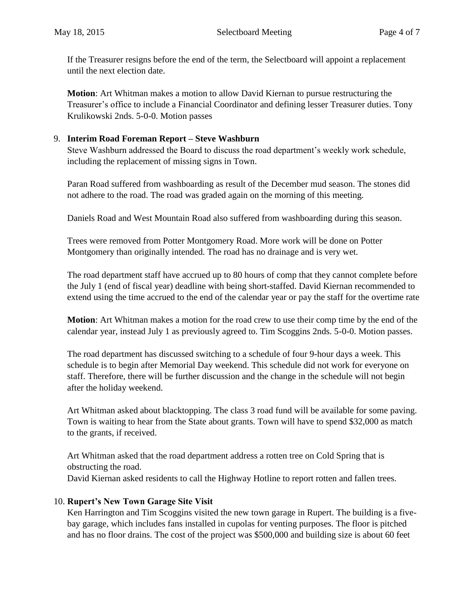If the Treasurer resigns before the end of the term, the Selectboard will appoint a replacement until the next election date.

**Motion**: Art Whitman makes a motion to allow David Kiernan to pursue restructuring the Treasurer's office to include a Financial Coordinator and defining lesser Treasurer duties. Tony Krulikowski 2nds. 5-0-0. Motion passes

## 9. **Interim Road Foreman Report – Steve Washburn**

Steve Washburn addressed the Board to discuss the road department's weekly work schedule, including the replacement of missing signs in Town.

Paran Road suffered from washboarding as result of the December mud season. The stones did not adhere to the road. The road was graded again on the morning of this meeting.

Daniels Road and West Mountain Road also suffered from washboarding during this season.

Trees were removed from Potter Montgomery Road. More work will be done on Potter Montgomery than originally intended. The road has no drainage and is very wet.

The road department staff have accrued up to 80 hours of comp that they cannot complete before the July 1 (end of fiscal year) deadline with being short-staffed. David Kiernan recommended to extend using the time accrued to the end of the calendar year or pay the staff for the overtime rate

**Motion**: Art Whitman makes a motion for the road crew to use their comp time by the end of the calendar year, instead July 1 as previously agreed to. Tim Scoggins 2nds. 5-0-0. Motion passes.

The road department has discussed switching to a schedule of four 9-hour days a week. This schedule is to begin after Memorial Day weekend. This schedule did not work for everyone on staff. Therefore, there will be further discussion and the change in the schedule will not begin after the holiday weekend.

Art Whitman asked about blacktopping. The class 3 road fund will be available for some paving. Town is waiting to hear from the State about grants. Town will have to spend \$32,000 as match to the grants, if received.

Art Whitman asked that the road department address a rotten tree on Cold Spring that is obstructing the road.

David Kiernan asked residents to call the Highway Hotline to report rotten and fallen trees.

# 10. **Rupert's New Town Garage Site Visit**

Ken Harrington and Tim Scoggins visited the new town garage in Rupert. The building is a fivebay garage, which includes fans installed in cupolas for venting purposes. The floor is pitched and has no floor drains. The cost of the project was \$500,000 and building size is about 60 feet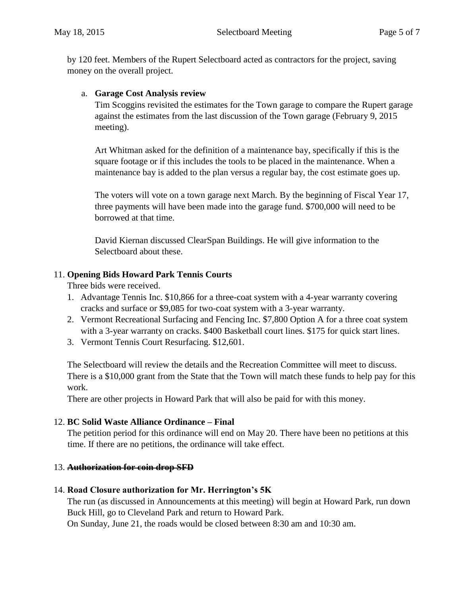by 120 feet. Members of the Rupert Selectboard acted as contractors for the project, saving money on the overall project.

## a. **Garage Cost Analysis review**

Tim Scoggins revisited the estimates for the Town garage to compare the Rupert garage against the estimates from the last discussion of the Town garage (February 9, 2015 meeting).

Art Whitman asked for the definition of a maintenance bay, specifically if this is the square footage or if this includes the tools to be placed in the maintenance. When a maintenance bay is added to the plan versus a regular bay, the cost estimate goes up.

The voters will vote on a town garage next March. By the beginning of Fiscal Year 17, three payments will have been made into the garage fund. \$700,000 will need to be borrowed at that time.

David Kiernan discussed ClearSpan Buildings. He will give information to the Selectboard about these.

## 11. **Opening Bids Howard Park Tennis Courts**

Three bids were received.

- 1. Advantage Tennis Inc. \$10,866 for a three-coat system with a 4-year warranty covering cracks and surface or \$9,085 for two-coat system with a 3-year warranty.
- 2. Vermont Recreational Surfacing and Fencing Inc. \$7,800 Option A for a three coat system with a 3-year warranty on cracks. \$400 Basketball court lines. \$175 for quick start lines.
- 3. Vermont Tennis Court Resurfacing. \$12,601.

The Selectboard will review the details and the Recreation Committee will meet to discuss. There is a \$10,000 grant from the State that the Town will match these funds to help pay for this work.

There are other projects in Howard Park that will also be paid for with this money.

# 12. **BC Solid Waste Alliance Ordinance – Final**

The petition period for this ordinance will end on May 20. There have been no petitions at this time. If there are no petitions, the ordinance will take effect.

## 13. **Authorization for coin drop SFD**

# 14. **Road Closure authorization for Mr. Herrington's 5K**

The run (as discussed in Announcements at this meeting) will begin at Howard Park, run down Buck Hill, go to Cleveland Park and return to Howard Park. On Sunday, June 21, the roads would be closed between 8:30 am and 10:30 am.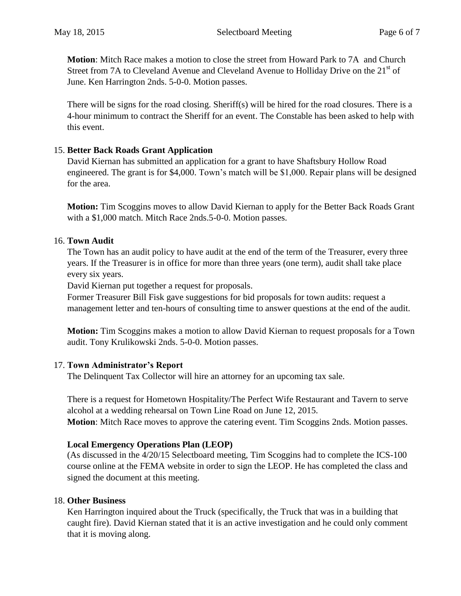**Motion**: Mitch Race makes a motion to close the street from Howard Park to 7A and Church Street from 7A to Cleveland Avenue and Cleveland Avenue to Holliday Drive on the 21<sup>st</sup> of June. Ken Harrington 2nds. 5-0-0. Motion passes.

There will be signs for the road closing. Sheriff(s) will be hired for the road closures. There is a 4-hour minimum to contract the Sheriff for an event. The Constable has been asked to help with this event.

## 15. **Better Back Roads Grant Application**

David Kiernan has submitted an application for a grant to have Shaftsbury Hollow Road engineered. The grant is for \$4,000. Town's match will be \$1,000. Repair plans will be designed for the area.

**Motion:** Tim Scoggins moves to allow David Kiernan to apply for the Better Back Roads Grant with a \$1,000 match. Mitch Race 2nds.5-0-0. Motion passes.

## 16. **Town Audit**

The Town has an audit policy to have audit at the end of the term of the Treasurer, every three years. If the Treasurer is in office for more than three years (one term), audit shall take place every six years.

David Kiernan put together a request for proposals.

Former Treasurer Bill Fisk gave suggestions for bid proposals for town audits: request a management letter and ten-hours of consulting time to answer questions at the end of the audit.

**Motion:** Tim Scoggins makes a motion to allow David Kiernan to request proposals for a Town audit. Tony Krulikowski 2nds. 5-0-0. Motion passes.

# 17. **Town Administrator's Report**

The Delinquent Tax Collector will hire an attorney for an upcoming tax sale.

There is a request for Hometown Hospitality/The Perfect Wife Restaurant and Tavern to serve alcohol at a wedding rehearsal on Town Line Road on June 12, 2015. **Motion**: Mitch Race moves to approve the catering event. Tim Scoggins 2nds. Motion passes.

# **Local Emergency Operations Plan (LEOP)**

(As discussed in the 4/20/15 Selectboard meeting, Tim Scoggins had to complete the ICS-100 course online at the FEMA website in order to sign the LEOP. He has completed the class and signed the document at this meeting.

# 18. **Other Business**

Ken Harrington inquired about the Truck (specifically, the Truck that was in a building that caught fire). David Kiernan stated that it is an active investigation and he could only comment that it is moving along.